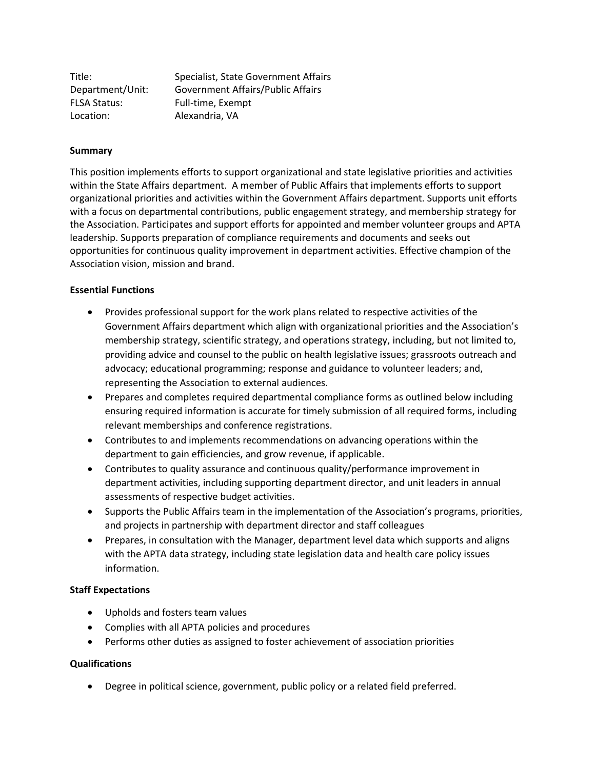| Title:              | Specialist, State Government Affairs     |
|---------------------|------------------------------------------|
| Department/Unit:    | <b>Government Affairs/Public Affairs</b> |
| <b>FLSA Status:</b> | Full-time, Exempt                        |
| Location:           | Alexandria, VA                           |

# **Summary**

This position implements efforts to support organizational and state legislative priorities and activities within the State Affairs department. A member of Public Affairs that implements efforts to support organizational priorities and activities within the Government Affairs department. Supports unit efforts with a focus on departmental contributions, public engagement strategy, and membership strategy for the Association. Participates and support efforts for appointed and member volunteer groups and APTA leadership. Supports preparation of compliance requirements and documents and seeks out opportunities for continuous quality improvement in department activities. Effective champion of the Association vision, mission and brand.

## **Essential Functions**

- Provides professional support for the work plans related to respective activities of the Government Affairs department which align with organizational priorities and the Association's membership strategy, scientific strategy, and operations strategy, including, but not limited to, providing advice and counsel to the public on health legislative issues; grassroots outreach and advocacy; educational programming; response and guidance to volunteer leaders; and, representing the Association to external audiences.
- Prepares and completes required departmental compliance forms as outlined below including ensuring required information is accurate for timely submission of all required forms, including relevant memberships and conference registrations.
- Contributes to and implements recommendations on advancing operations within the department to gain efficiencies, and grow revenue, if applicable.
- Contributes to quality assurance and continuous quality/performance improvement in department activities, including supporting department director, and unit leaders in annual assessments of respective budget activities.
- Supports the Public Affairs team in the implementation of the Association's programs, priorities, and projects in partnership with department director and staff colleagues
- Prepares, in consultation with the Manager, department level data which supports and aligns with the APTA data strategy, including state legislation data and health care policy issues information.

# **Staff Expectations**

- Upholds and fosters team values
- Complies with all APTA policies and procedures
- Performs other duties as assigned to foster achievement of association priorities

# **Qualifications**

• Degree in political science, government, public policy or a related field preferred.